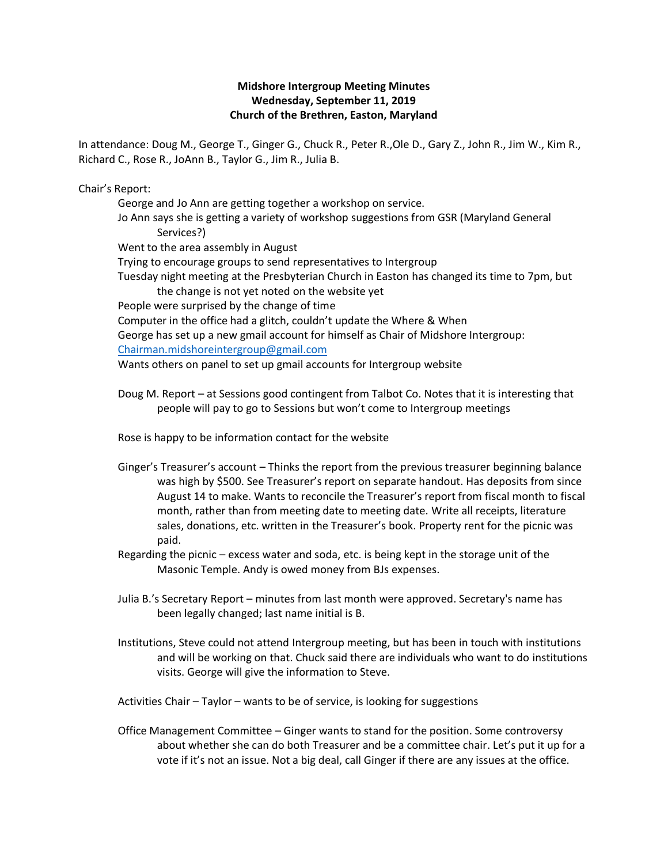## **Midshore Intergroup Meeting Minutes Wednesday, September 11, 2019 Church of the Brethren, Easton, Maryland**

In attendance: Doug M., George T., Ginger G., Chuck R., Peter R.,Ole D., Gary Z., John R., Jim W., Kim R., Richard C., Rose R., JoAnn B., Taylor G., Jim R., Julia B.

Chair's Report:

George and Jo Ann are getting together a workshop on service. Jo Ann says she is getting a variety of workshop suggestions from GSR (Maryland General Services?) Went to the area assembly in August Trying to encourage groups to send representatives to Intergroup Tuesday night meeting at the Presbyterian Church in Easton has changed its time to 7pm, but the change is not yet noted on the website yet People were surprised by the change of time Computer in the office had a glitch, couldn't update the Where & When George has set up a new gmail account for himself as Chair of Midshore Intergroup: [Chairman.midshoreintergroup@gmail.com](mailto:Chairman.midshoreintergroup@gmail.com) Wants others on panel to set up gmail accounts for Intergroup website

Doug M. Report – at Sessions good contingent from Talbot Co. Notes that it is interesting that people will pay to go to Sessions but won't come to Intergroup meetings

Rose is happy to be information contact for the website

- Ginger's Treasurer's account Thinks the report from the previous treasurer beginning balance was high by \$500. See Treasurer's report on separate handout. Has deposits from since August 14 to make. Wants to reconcile the Treasurer's report from fiscal month to fiscal month, rather than from meeting date to meeting date. Write all receipts, literature sales, donations, etc. written in the Treasurer's book. Property rent for the picnic was paid.
- Regarding the picnic excess water and soda, etc. is being kept in the storage unit of the Masonic Temple. Andy is owed money from BJs expenses.
- Julia B.'s Secretary Report minutes from last month were approved. Secretary's name has been legally changed; last name initial is B.
- Institutions, Steve could not attend Intergroup meeting, but has been in touch with institutions and will be working on that. Chuck said there are individuals who want to do institutions visits. George will give the information to Steve.

Activities Chair – Taylor – wants to be of service, is looking for suggestions

Office Management Committee – Ginger wants to stand for the position. Some controversy about whether she can do both Treasurer and be a committee chair. Let's put it up for a vote if it's not an issue. Not a big deal, call Ginger if there are any issues at the office.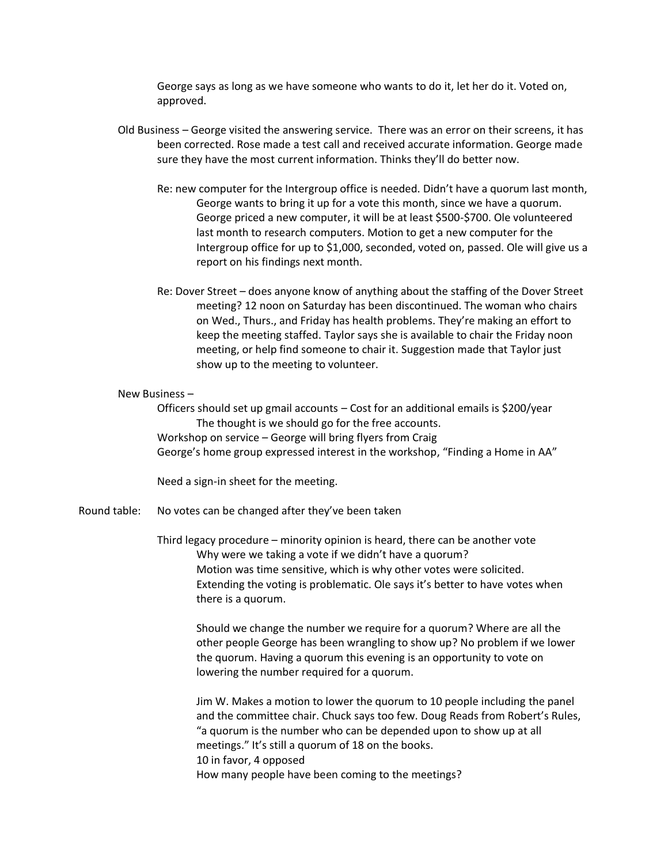George says as long as we have someone who wants to do it, let her do it. Voted on, approved.

- Old Business George visited the answering service. There was an error on their screens, it has been corrected. Rose made a test call and received accurate information. George made sure they have the most current information. Thinks they'll do better now.
	- Re: new computer for the Intergroup office is needed. Didn't have a quorum last month, George wants to bring it up for a vote this month, since we have a quorum. George priced a new computer, it will be at least \$500-\$700. Ole volunteered last month to research computers. Motion to get a new computer for the Intergroup office for up to \$1,000, seconded, voted on, passed. Ole will give us a report on his findings next month.
	- Re: Dover Street does anyone know of anything about the staffing of the Dover Street meeting? 12 noon on Saturday has been discontinued. The woman who chairs on Wed., Thurs., and Friday has health problems. They're making an effort to keep the meeting staffed. Taylor says she is available to chair the Friday noon meeting, or help find someone to chair it. Suggestion made that Taylor just show up to the meeting to volunteer.

## New Business –

Officers should set up gmail accounts – Cost for an additional emails is \$200/year The thought is we should go for the free accounts. Workshop on service – George will bring flyers from Craig George's home group expressed interest in the workshop, "Finding a Home in AA"

Need a sign-in sheet for the meeting.

Round table: No votes can be changed after they've been taken

Third legacy procedure – minority opinion is heard, there can be another vote Why were we taking a vote if we didn't have a quorum? Motion was time sensitive, which is why other votes were solicited. Extending the voting is problematic. Ole says it's better to have votes when there is a quorum.

Should we change the number we require for a quorum? Where are all the other people George has been wrangling to show up? No problem if we lower the quorum. Having a quorum this evening is an opportunity to vote on lowering the number required for a quorum.

Jim W. Makes a motion to lower the quorum to 10 people including the panel and the committee chair. Chuck says too few. Doug Reads from Robert's Rules, "a quorum is the number who can be depended upon to show up at all meetings." It's still a quorum of 18 on the books. 10 in favor, 4 opposed How many people have been coming to the meetings?